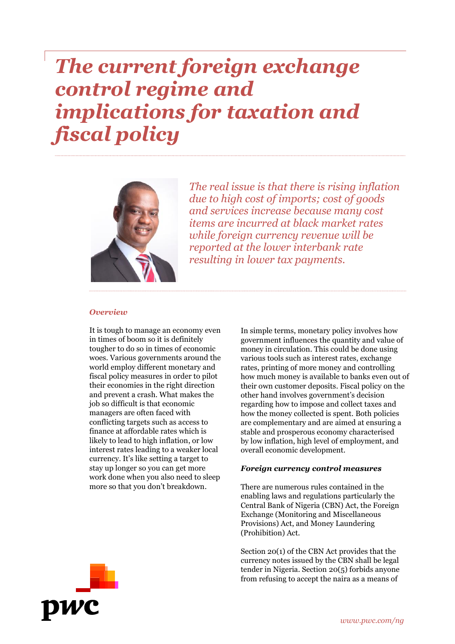# *The current foreign exchange control regime and implications for taxation and fiscal policy*



*The real issue is that there is rising inflation due to high cost of imports; cost of goods and services increase because many cost items are incurred at black market rates while foreign currency revenue will be reported at the lower interbank rate resulting in lower tax payments.*

#### *Overview*

It is tough to manage an economy even in times of boom so it is definitely tougher to do so in times of economic woes. Various governments around the world employ different monetary and fiscal policy measures in order to pilot their economies in the right direction and prevent a crash. What makes the job so difficult is that economic managers are often faced with conflicting targets such as access to finance at affordable rates which is likely to lead to high inflation, or low interest rates leading to a weaker local currency. It's like setting a target to stay up longer so you can get more work done when you also need to sleep more so that you don't breakdown.

In simple terms, monetary policy involves how government influences the quantity and value of money in circulation. This could be done using various tools such as interest rates, exchange rates, printing of more money and controlling how much money is available to banks even out of their own customer deposits. Fiscal policy on the other hand involves government's decision regarding how to impose and collect taxes and how the money collected is spent. Both policies are complementary and are aimed at ensuring a stable and prosperous economy characterised by low inflation, high level of employment, and overall economic development.

#### *Foreign currency control measures*

There are numerous rules contained in the enabling laws and regulations particularly the Central Bank of Nigeria (CBN) Act, the Foreign Exchange (Monitoring and Miscellaneous Provisions) Act, and Money Laundering (Prohibition) Act.

Section 20(1) of the CBN Act provides that the currency notes issued by the CBN shall be legal tender in Nigeria. Section 20(5) forbids anyone from refusing to accept the naira as a means of

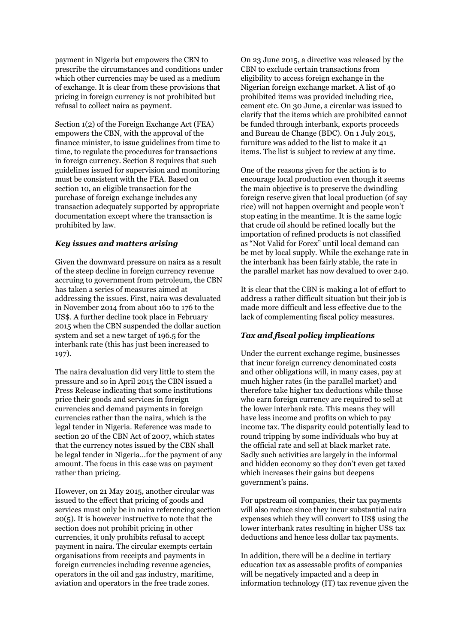payment in Nigeria but empowers the CBN to prescribe the circumstances and conditions under which other currencies may be used as a medium of exchange. It is clear from these provisions that pricing in foreign currency is not prohibited but refusal to collect naira as payment.

Section 1(2) of the Foreign Exchange Act (FEA) empowers the CBN, with the approval of the finance minister, to issue guidelines from time to time, to regulate the procedures for transactions in foreign currency. Section 8 requires that such guidelines issued for supervision and monitoring must be consistent with the FEA. Based on section 10, an eligible transaction for the purchase of foreign exchange includes any transaction adequately supported by appropriate documentation except where the transaction is prohibited by law.

## *Key issues and matters arising*

Given the downward pressure on naira as a result of the steep decline in foreign currency revenue accruing to government from petroleum, the CBN has taken a series of measures aimed at addressing the issues. First, naira was devaluated in November 2014 from about 160 to 176 to the US\$. A further decline took place in February 2015 when the CBN suspended the dollar auction system and set a new target of 196.5 for the interbank rate (this has just been increased to 197).

The naira devaluation did very little to stem the pressure and so in April 2015 the CBN issued a Press Release indicating that some institutions price their goods and services in foreign currencies and demand payments in foreign currencies rather than the naira, which is the legal tender in Nigeria. Reference was made to section 20 of the CBN Act of 2007, which states that the currency notes issued by the CBN shall be legal tender in Nigeria…for the payment of any amount. The focus in this case was on payment rather than pricing.

However, on 21 May 2015, another circular was issued to the effect that pricing of goods and services must only be in naira referencing section 20(5). It is however instructive to note that the section does not prohibit pricing in other currencies, it only prohibits refusal to accept payment in naira. The circular exempts certain organisations from receipts and payments in foreign currencies including revenue agencies, operators in the oil and gas industry, maritime, aviation and operators in the free trade zones.

On 23 June 2015, a directive was released by the CBN to exclude certain transactions from eligibility to access foreign exchange in the Nigerian foreign exchange market. A list of 40 prohibited items was provided including rice, cement etc. On 30 June, a circular was issued to clarify that the items which are prohibited cannot be funded through interbank, exports proceeds and Bureau de Change (BDC). On 1 July 2015, furniture was added to the list to make it 41 items. The list is subject to review at any time.

One of the reasons given for the action is to encourage local production even though it seems the main objective is to preserve the dwindling foreign reserve given that local production (of say rice) will not happen overnight and people won't stop eating in the meantime. It is the same logic that crude oil should be refined locally but the importation of refined products is not classified as "Not Valid for Forex" until local demand can be met by local supply. While the exchange rate in the interbank has been fairly stable, the rate in the parallel market has now devalued to over 240.

It is clear that the CBN is making a lot of effort to address a rather difficult situation but their job is made more difficult and less effective due to the lack of complementing fiscal policy measures.

# *Tax and fiscal policy implications*

Under the current exchange regime, businesses that incur foreign currency denominated costs and other obligations will, in many cases, pay at much higher rates (in the parallel market) and therefore take higher tax deductions while those who earn foreign currency are required to sell at the lower interbank rate. This means they will have less income and profits on which to pay income tax. The disparity could potentially lead to round tripping by some individuals who buy at the official rate and sell at black market rate. Sadly such activities are largely in the informal and hidden economy so they don't even get taxed which increases their gains but deepens government's pains.

For upstream oil companies, their tax payments will also reduce since they incur substantial naira expenses which they will convert to US\$ using the lower interbank rates resulting in higher US\$ tax deductions and hence less dollar tax payments.

In addition, there will be a decline in tertiary education tax as assessable profits of companies will be negatively impacted and a deep in information technology (IT) tax revenue given the